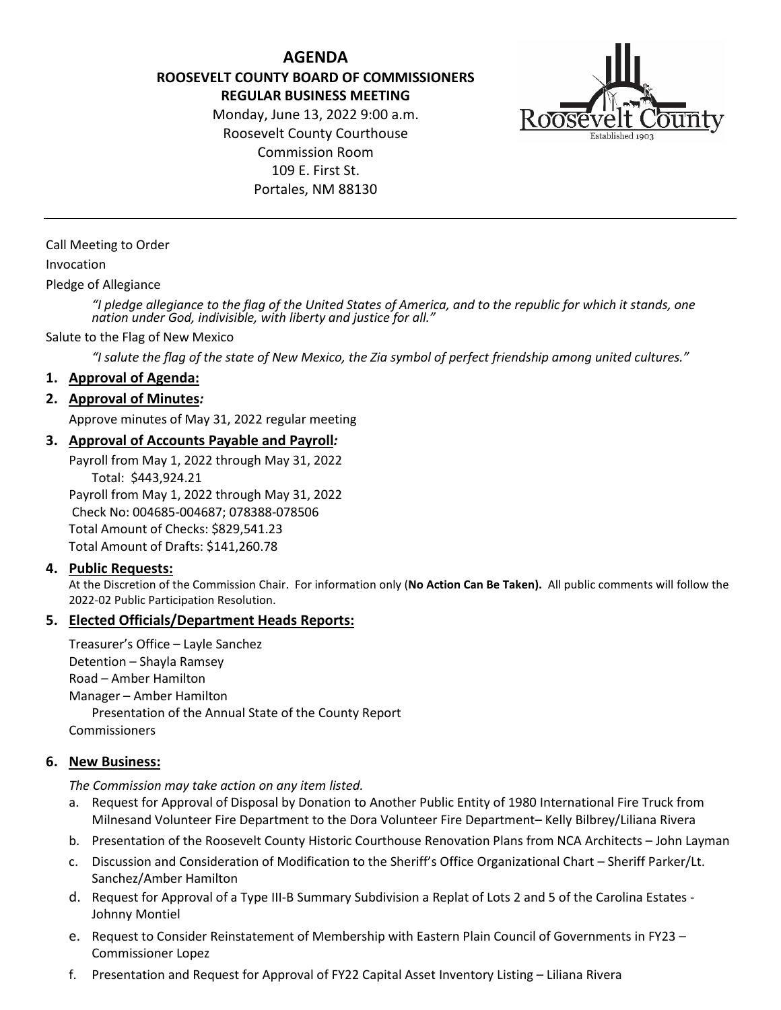**AGENDA ROOSEVELT COUNTY BOARD OF COMMISSIONERS REGULAR BUSINESS MEETING**

> Monday, June 13, 2022 9:00 a.m. Roosevelt County Courthouse Commission Room 109 E. First St. Portales, NM 88130



Call Meeting to Order

#### Invocation

Pledge of Allegiance

*"I pledge allegiance to the flag of the United States of America, and to the republic for which it stands, one nation under God, indivisible, with liberty and justice for all."*

#### Salute to the Flag of New Mexico

*"I salute the flag of the state of New Mexico, the Zia symbol of perfect friendship among united cultures."*

#### **1. Approval of Agenda:**

#### **2. Approval of Minutes***:*

Approve minutes of May 31, 2022 regular meeting

#### **3. Approval of Accounts Payable and Payroll***:*

Payroll from May 1, 2022 through May 31, 2022 Total: \$443,924.21 Payroll from May 1, 2022 through May 31, 2022 Check No: 004685-004687; 078388-078506 Total Amount of Checks: \$829,541.23 Total Amount of Drafts: \$141,260.78

#### **4. Public Requests:**

At the Discretion of the Commission Chair. For information only (**No Action Can Be Taken).** All public comments will follow the 2022-02 Public Participation Resolution.

#### **5. Elected Officials/Department Heads Reports:**

Treasurer's Office – Layle Sanchez Detention – Shayla Ramsey Road – Amber Hamilton Manager – Amber Hamilton Presentation of the Annual State of the County Report Commissioners

#### **6. New Business:**

*The Commission may take action on any item listed.*

- a. Request for Approval of Disposal by Donation to Another Public Entity of 1980 International Fire Truck from Milnesand Volunteer Fire Department to the Dora Volunteer Fire Department– Kelly Bilbrey/Liliana Rivera
- b. Presentation of the Roosevelt County Historic Courthouse Renovation Plans from NCA Architects John Layman
- c. Discussion and Consideration of Modification to the Sheriff's Office Organizational Chart Sheriff Parker/Lt. Sanchez/Amber Hamilton
- d. Request for Approval of a Type III-B Summary Subdivision a Replat of Lots 2 and 5 of the Carolina Estates Johnny Montiel
- e. Request to Consider Reinstatement of Membership with Eastern Plain Council of Governments in FY23 Commissioner Lopez
- f. Presentation and Request for Approval of FY22 Capital Asset Inventory Listing Liliana Rivera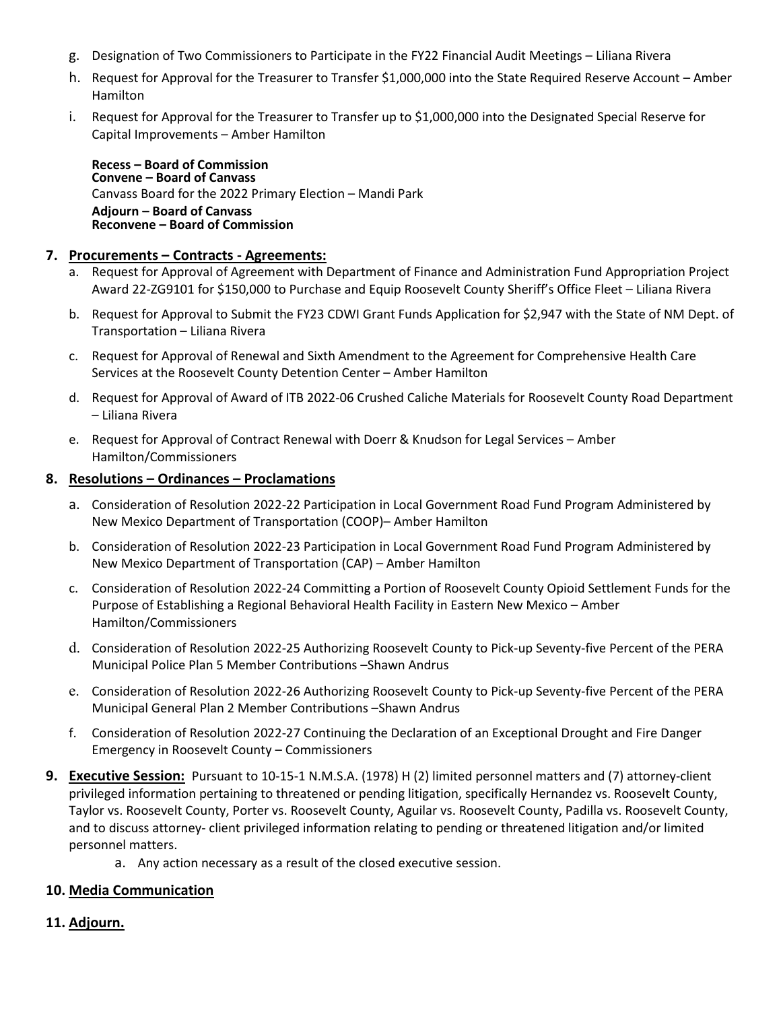- g. Designation of Two Commissioners to Participate in the FY22 Financial Audit Meetings Liliana Rivera
- h. Request for Approval for the Treasurer to Transfer \$1,000,000 into the State Required Reserve Account Amber Hamilton
- i. Request for Approval for the Treasurer to Transfer up to \$1,000,000 into the Designated Special Reserve for Capital Improvements – Amber Hamilton

**Recess – Board of Commission Convene – Board of Canvass** Canvass Board for the 2022 Primary Election – Mandi Park **Adjourn – Board of Canvass Reconvene – Board of Commission**

### **7. Procurements – Contracts - Agreements:**

- a. Request for Approval of Agreement with Department of Finance and Administration Fund Appropriation Project Award 22-ZG9101 for \$150,000 to Purchase and Equip Roosevelt County Sheriff's Office Fleet – Liliana Rivera
- b. Request for Approval to Submit the FY23 CDWI Grant Funds Application for \$2,947 with the State of NM Dept. of Transportation – Liliana Rivera
- c. Request for Approval of Renewal and Sixth Amendment to the Agreement for Comprehensive Health Care Services at the Roosevelt County Detention Center – Amber Hamilton
- d. Request for Approval of Award of ITB 2022-06 Crushed Caliche Materials for Roosevelt County Road Department – Liliana Rivera
- e. Request for Approval of Contract Renewal with Doerr & Knudson for Legal Services Amber Hamilton/Commissioners

#### **8. Resolutions – Ordinances – Proclamations**

- a. Consideration of Resolution 2022-22 Participation in Local Government Road Fund Program Administered by New Mexico Department of Transportation (COOP)– Amber Hamilton
- b. Consideration of Resolution 2022-23 Participation in Local Government Road Fund Program Administered by New Mexico Department of Transportation (CAP) – Amber Hamilton
- c. Consideration of Resolution 2022-24 Committing a Portion of Roosevelt County Opioid Settlement Funds for the Purpose of Establishing a Regional Behavioral Health Facility in Eastern New Mexico – Amber Hamilton/Commissioners
- d. Consideration of Resolution 2022-25 Authorizing Roosevelt County to Pick-up Seventy-five Percent of the PERA Municipal Police Plan 5 Member Contributions –Shawn Andrus
- e. Consideration of Resolution 2022-26 Authorizing Roosevelt County to Pick-up Seventy-five Percent of the PERA Municipal General Plan 2 Member Contributions –Shawn Andrus
- f. Consideration of Resolution 2022-27 Continuing the Declaration of an Exceptional Drought and Fire Danger Emergency in Roosevelt County – Commissioners
- **9. Executive Session:** Pursuant to 10-15-1 N.M.S.A. (1978) H (2) limited personnel matters and (7) attorney-client privileged information pertaining to threatened or pending litigation, specifically Hernandez vs. Roosevelt County, Taylor vs. Roosevelt County, Porter vs. Roosevelt County, Aguilar vs. Roosevelt County, Padilla vs. Roosevelt County, and to discuss attorney- client privileged information relating to pending or threatened litigation and/or limited personnel matters.
	- a. Any action necessary as a result of the closed executive session.

## **10. Media Communication**

## **11. Adjourn.**